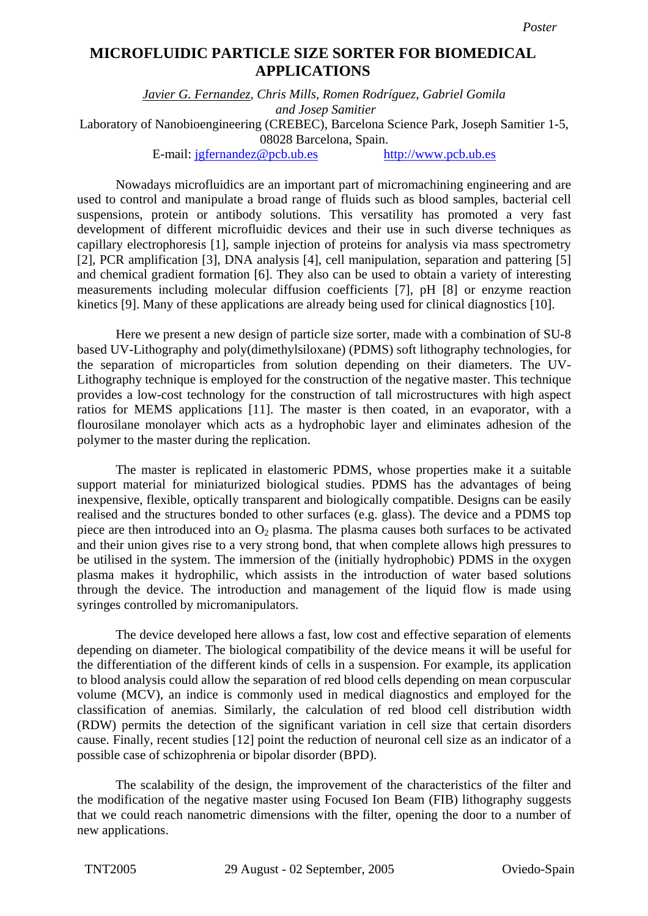## **Microfluidic particle size sorter for biomedical applications MICROFLUIDIC PARTICLE SIZE SORTER FOR BIOMEDICAL APPLICATIONS**

*Javier G. Fernandez, Chris Mills, Romen Rodríguez, Gabriel Gomila and Josep Samitier* 

Laboratory of Nanobioengineering (CREBEC), Barcelona Science Park, Joseph Samitier 1-5, 08028 Barcelona, Spain.

E-mail: jgfernandez@pcb.ub.es http://www.pcb.ub.es

Nowadays microfluidics are an important part of micromachining engineering and are used to control and manipulate a broad range of fluids such as blood samples, bacterial cell suspensions, protein or antibody solutions. This versatility has promoted a very fast development of different microfluidic devices and their use in such diverse techniques as capillary electrophoresis [1], sample injection of proteins for analysis via mass spectrometry [2], PCR amplification [3], DNA analysis [4], cell manipulation, separation and pattering [5] and chemical gradient formation [6]. They also can be used to obtain a variety of interesting measurements including molecular diffusion coefficients [7], pH [8] or enzyme reaction kinetics [9]. Many of these applications are already being used for clinical diagnostics [10].

Here we present a new design of particle size sorter, made with a combination of SU-8 based UV-Lithography and poly(dimethylsiloxane) (PDMS) soft lithography technologies, for the separation of microparticles from solution depending on their diameters. The UV-Lithography technique is employed for the construction of the negative master. This technique provides a low-cost technology for the construction of tall microstructures with high aspect ratios for MEMS applications [11]. The master is then coated, in an evaporator, with a flourosilane monolayer which acts as a hydrophobic layer and eliminates adhesion of the polymer to the master during the replication.

The master is replicated in elastomeric PDMS, whose properties make it a suitable support material for miniaturized biological studies. PDMS has the advantages of being inexpensive, flexible, optically transparent and biologically compatible. Designs can be easily realised and the structures bonded to other surfaces (e.g. glass). The device and a PDMS top piece are then introduced into an  $O<sub>2</sub>$  plasma. The plasma causes both surfaces to be activated and their union gives rise to a very strong bond, that when complete allows high pressures to be utilised in the system. The immersion of the (initially hydrophobic) PDMS in the oxygen plasma makes it hydrophilic, which assists in the introduction of water based solutions through the device. The introduction and management of the liquid flow is made using syringes controlled by micromanipulators.

The device developed here allows a fast, low cost and effective separation of elements depending on diameter. The biological compatibility of the device means it will be useful for the differentiation of the different kinds of cells in a suspension. For example, its application to blood analysis could allow the separation of red blood cells depending on mean corpuscular volume (MCV), an indice is commonly used in medical diagnostics and employed for the classification of anemias. Similarly, the calculation of red blood cell distribution width (RDW) permits the detection of the significant variation in cell size that certain disorders cause. Finally, recent studies [12] point the reduction of neuronal cell size as an indicator of a possible case of schizophrenia or bipolar disorder (BPD).

The scalability of the design, the improvement of the characteristics of the filter and the modification of the negative master using Focused Ion Beam (FIB) lithography suggests that we could reach nanometric dimensions with the filter, opening the door to a number of new applications.